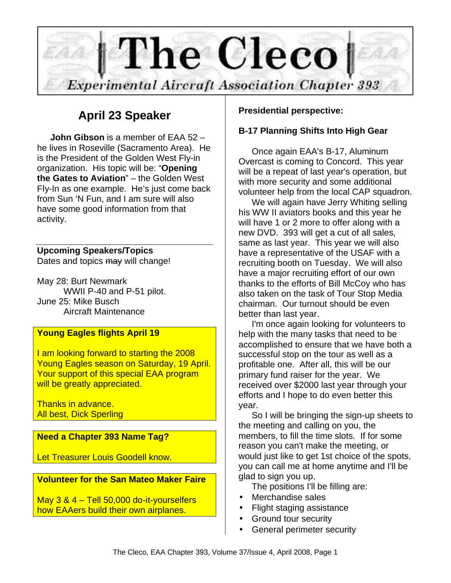

# **April 23 Speaker**

**John Gibson** is a member of EAA 52 – he lives in Roseville (Sacramento Area). He is the President of the Golden West Fly-in organization. His topic will be: "**Opening the Gates to Aviation**" – the Golden West Fly-In as one example. He's just come back from Sun 'N Fun, and I am sure will also have some good information from that activity.

### **Upcoming Speakers/Topics**

Dates and topics may will change!

May 28: Burt Newmark WWII P-40 and P-51 pilot. June 25: Mike Busch Aircraft Maintenance

### **Young Eagles flights April 19**

I am looking forward to starting the 2008 Young Eagles season on Saturday, 19 April. Your support of this special EAA program will be greatly appreciated.

Thanks in advance. All best, Dick Sperling

### **Need a Chapter 393 Name Tag?**

Let Treasurer Louis Goodell know.

### **Volunteer for the San Mateo Maker Faire**

May 3 & 4 – Tell 50,000 do-it-yourselfers how EAAers build their own airplanes.

### **Presidential perspective:**

### **B-17 Planning Shifts Into High Gear**

Once again EAA's B-17, Aluminum Overcast is coming to Concord. This year will be a repeat of last year's operation, but with more security and some additional volunteer help from the local CAP squadron.

We will again have Jerry Whiting selling his WW II aviators books and this year he will have 1 or 2 more to offer along with a new DVD. 393 will get a cut of all sales, same as last year. This year we will also have a representative of the USAF with a recruiting booth on Tuesday. We will also have a major recruiting effort of our own thanks to the efforts of Bill McCoy who has also taken on the task of Tour Stop Media chairman. Our turnout should be even better than last year.

I'm once again looking for volunteers to help with the many tasks that need to be accomplished to ensure that we have both a successful stop on the tour as well as a profitable one. After all, this will be our primary fund raiser for the year. We received over \$2000 last year through your efforts and I hope to do even better this year.

So I will be bringing the sign-up sheets to the meeting and calling on you, the members, to fill the time slots. If for some reason you can't make the meeting, or would just like to get 1st choice of the spots, you can call me at home anytime and I'll be glad to sign you up.

The positions I'll be filling are:

- Merchandise sales
- Flight staging assistance
- Ground tour security
- General perimeter security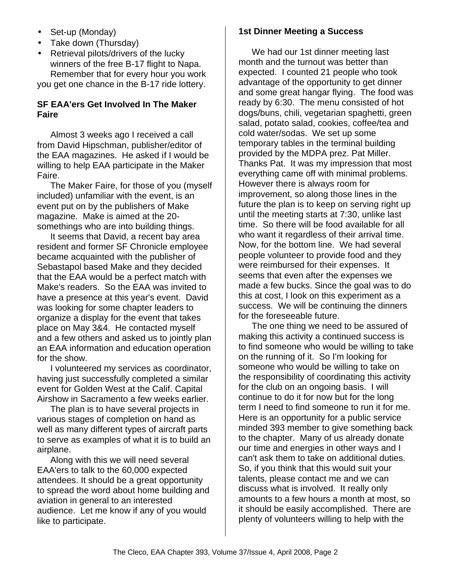- Set-up (Monday)
- Take down (Thursday)
- Retrieval pilots/drivers of the lucky winners of the free B-17 flight to Napa. Remember that for every hour you work

you get one chance in the B-17 ride lottery.

#### **SF EAA'ers Get Involved In The Maker Faire**

Almost 3 weeks ago I received a call from David Hipschman, publisher/editor of the EAA magazines. He asked if I would be willing to help EAA participate in the Maker Faire.

The Maker Faire, for those of you (myself included) unfamiliar with the event, is an event put on by the publishers of Make magazine. Make is aimed at the 20 somethings who are into building things.

It seems that David, a recent bay area resident and former SF Chronicle employee became acquainted with the publisher of Sebastapol based Make and they decided that the EAA would be a perfect match with Make's readers. So the EAA was invited to have a presence at this year's event. David was looking for some chapter leaders to organize a display for the event that takes place on May 3&4. He contacted myself and a few others and asked us to jointly plan an EAA information and education operation for the show.

I volunteered my services as coordinator, having just successfully completed a similar event for Golden West at the Calif. Capital Airshow in Sacramento a few weeks earlier.

The plan is to have several projects in various stages of completion on hand as well as many different types of aircraft parts to serve as examples of what it is to build an airplane.

Along with this we will need several EAA'ers to talk to the 60,000 expected attendees. It should be a great opportunity to spread the word about home building and aviation in general to an interested audience. Let me know if any of you would like to participate.

#### **1st Dinner Meeting a Success**

We had our 1st dinner meeting last month and the turnout was better than expected. I counted 21 people who took advantage of the opportunity to get dinner and some great hangar flying. The food was ready by 6:30. The menu consisted of hot dogs/buns, chili, vegetarian spaghetti, green salad, potato salad, cookies, coffee/tea and cold water/sodas. We set up some temporary tables in the terminal building provided by the MDPA prez. Pat Miller. Thanks Pat. It was my impression that most everything came off with minimal problems. However there is always room for improvement, so along those lines in the future the plan is to keep on serving right up until the meeting starts at 7:30, unlike last time. So there will be food available for all who want it regardless of their arrival time. Now, for the bottom line. We had several people volunteer to provide food and they were reimbursed for their expenses. It seems that even after the expenses we made a few bucks. Since the goal was to do this at cost, I look on this experiment as a success. We will be continuing the dinners for the foreseeable future.

The one thing we need to be assured of making this activity a continued success is to find someone who would be willing to take on the running of it. So I'm looking for someone who would be willing to take on the responsibility of coordinating this activity for the club on an ongoing basis. I will continue to do it for now but for the long term I need to find someone to run it for me. Here is an opportunity for a public service minded 393 member to give something back to the chapter. Many of us already donate our time and energies in other ways and I can't ask them to take on additional duties. So, if you think that this would suit your talents, please contact me and we can discuss what is involved. It really only amounts to a few hours a month at most, so it should be easily accomplished. There are plenty of volunteers willing to help with the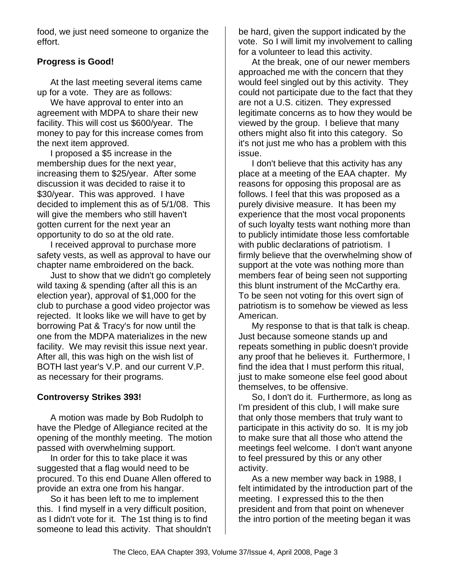food, we just need someone to organize the effort.

### **Progress is Good!**

At the last meeting several items came up for a vote. They are as follows:

We have approval to enter into an agreement with MDPA to share their new facility. This will cost us \$600/year. The money to pay for this increase comes from the next item approved.

I proposed a \$5 increase in the membership dues for the next year, increasing them to \$25/year. After some discussion it was decided to raise it to \$30/year. This was approved. I have decided to implement this as of 5/1/08. This will give the members who still haven't gotten current for the next year an opportunity to do so at the old rate.

I received approval to purchase more safety vests, as well as approval to have our chapter name embroidered on the back.

Just to show that we didn't go completely wild taxing & spending (after all this is an election year), approval of \$1,000 for the club to purchase a good video projector was rejected. It looks like we will have to get by borrowing Pat & Tracy's for now until the one from the MDPA materializes in the new facility. We may revisit this issue next year. After all, this was high on the wish list of BOTH last year's V.P. and our current V.P. as necessary for their programs.

### **Controversy Strikes 393!**

A motion was made by Bob Rudolph to have the Pledge of Allegiance recited at the opening of the monthly meeting. The motion passed with overwhelming support.

In order for this to take place it was suggested that a flag would need to be procured. To this end Duane Allen offered to provide an extra one from his hangar.

So it has been left to me to implement this. I find myself in a very difficult position, as I didn't vote for it. The 1st thing is to find someone to lead this activity. That shouldn't

be hard, given the support indicated by the vote. So I will limit my involvement to calling for a volunteer to lead this activity.

At the break, one of our newer members approached me with the concern that they would feel singled out by this activity. They could not participate due to the fact that they are not a U.S. citizen. They expressed legitimate concerns as to how they would be viewed by the group. I believe that many others might also fit into this category. So it's not just me who has a problem with this issue.

I don't believe that this activity has any place at a meeting of the EAA chapter. My reasons for opposing this proposal are as follows. I feel that this was proposed as a purely divisive measure. It has been my experience that the most vocal proponents of such loyalty tests want nothing more than to publicly intimidate those less comfortable with public declarations of patriotism. I firmly believe that the overwhelming show of support at the vote was nothing more than members fear of being seen not supporting this blunt instrument of the McCarthy era. To be seen not voting for this overt sign of patriotism is to somehow be viewed as less American.

My response to that is that talk is cheap. Just because someone stands up and repeats something in public doesn't provide any proof that he believes it. Furthermore, I find the idea that I must perform this ritual, just to make someone else feel good about themselves, to be offensive.

So, I don't do it. Furthermore, as long as I'm president of this club, I will make sure that only those members that truly want to participate in this activity do so. It is my job to make sure that all those who attend the meetings feel welcome. I don't want anyone to feel pressured by this or any other activity.

As a new member way back in 1988, I felt intimidated by the introduction part of the meeting. I expressed this to the then president and from that point on whenever the intro portion of the meeting began it was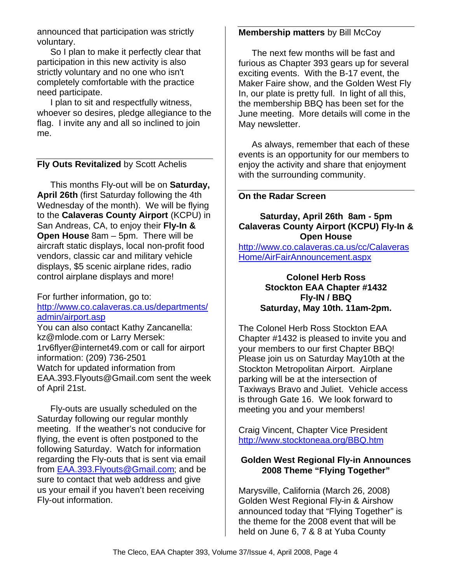announced that participation was strictly voluntary.

So I plan to make it perfectly clear that participation in this new activity is also strictly voluntary and no one who isn't completely comfortable with the practice need participate.

I plan to sit and respectfully witness, whoever so desires, pledge allegiance to the flag. I invite any and all so inclined to join me.

#### **Fly Outs Revitalized** by Scott Achelis

This months Fly-out will be on **Saturday, April 26th** (first Saturday following the 4th Wednesday of the month). We will be flying to the **Calaveras County Airport** (KCPU) in San Andreas, CA, to enjoy their **Fly-In & Open House** 8am – 5pm. There will be aircraft static displays, local non-profit food vendors, classic car and military vehicle displays, \$5 scenic airplane rides, radio control airplane displays and more!

#### For further information, go to: http://www.co.calaveras.ca.us/departments/ admin/airport.asp

You can also contact Kathy Zancanella: kz@mlode.com or Larry Mersek: 1rv6flyer@internet49.com or call for airport information: (209) 736-2501 Watch for updated information from EAA.393.Flyouts@Gmail.com sent the week of April 21st.

Fly-outs are usually scheduled on the Saturday following our regular monthly meeting. If the weather's not conducive for flying, the event is often postponed to the following Saturday. Watch for information regarding the Fly-outs that is sent via email from EAA.393.Flyouts@Gmail.com; and be sure to contact that web address and give us your email if you haven't been receiving Fly-out information.

#### **Membership matters** by Bill McCoy

The next few months will be fast and furious as Chapter 393 gears up for several exciting events. With the B-17 event, the Maker Faire show, and the Golden West Fly In, our plate is pretty full. In light of all this, the membership BBQ has been set for the June meeting. More details will come in the May newsletter.

As always, remember that each of these events is an opportunity for our members to enjoy the activity and share that enjoyment with the surrounding community.

#### **On the Radar Screen**

#### **Saturday, April 26th 8am - 5pm Calaveras County Airport (KCPU) Fly-In & Open House**

http://www.co.calaveras.ca.us/cc/Calaveras Home/AirFairAnnouncement.aspx

#### **Colonel Herb Ross Stockton EAA Chapter #1432 Fly-IN / BBQ Saturday, May 10th. 11am-2pm.**

The Colonel Herb Ross Stockton EAA Chapter #1432 is pleased to invite you and your members to our first Chapter BBQ! Please join us on Saturday May10th at the Stockton Metropolitan Airport. Airplane parking will be at the intersection of Taxiways Bravo and Juliet. Vehicle access is through Gate 16. We look forward to meeting you and your members!

Craig Vincent, Chapter Vice President http://www.stocktoneaa.org/BBQ.htm

#### **Golden West Regional Fly-in Announces 2008 Theme "Flying Together"**

Marysville, California (March 26, 2008) Golden West Regional Fly-in & Airshow announced today that "Flying Together" is the theme for the 2008 event that will be held on June 6, 7 & 8 at Yuba County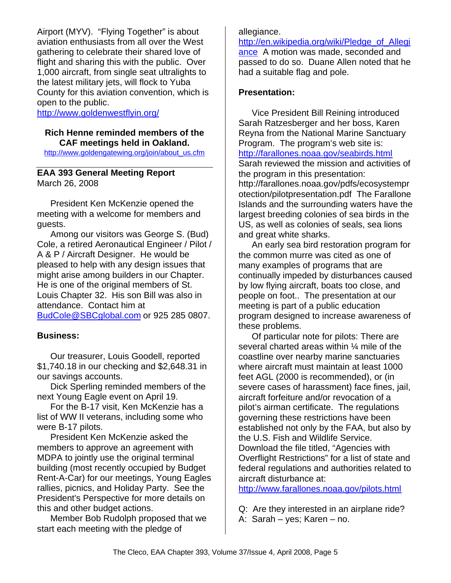Airport (MYV). "Flying Together" is about aviation enthusiasts from all over the West gathering to celebrate their shared love of flight and sharing this with the public. Over 1,000 aircraft, from single seat ultralights to the latest military jets, will flock to Yuba County for this aviation convention, which is open to the public.

http://www.goldenwestflyin.org/

#### **Rich Henne reminded members of the CAF meetings held in Oakland.**

http://www.goldengatewing.org/join/about\_us.cfm

#### **EAA 393 General Meeting Report** March 26, 2008

President Ken McKenzie opened the meeting with a welcome for members and guests.

Among our visitors was George S. (Bud) Cole, a retired Aeronautical Engineer / Pilot / A & P / Aircraft Designer. He would be pleased to help with any design issues that might arise among builders in our Chapter. He is one of the original members of St. Louis Chapter 32. His son Bill was also in attendance. Contact him at BudCole@SBCglobal.com or 925 285 0807.

### **Business:**

Our treasurer, Louis Goodell, reported \$1,740.18 in our checking and \$2,648.31 in our savings accounts.

Dick Sperling reminded members of the next Young Eagle event on April 19.

For the B-17 visit, Ken McKenzie has a list of WW II veterans, including some who were B-17 pilots.

President Ken McKenzie asked the members to approve an agreement with MDPA to jointly use the original terminal building (most recently occupied by Budget Rent-A-Car) for our meetings, Young Eagles rallies, picnics, and Holiday Party. See the President's Perspective for more details on this and other budget actions.

Member Bob Rudolph proposed that we start each meeting with the pledge of

allegiance.

http://en.wikipedia.org/wiki/Pledge\_of\_Allegi ance A motion was made, seconded and passed to do so. Duane Allen noted that he had a suitable flag and pole.

#### **Presentation:**

Vice President Bill Reining introduced Sarah Ratzesberger and her boss, Karen Reyna from the National Marine Sanctuary Program. The program's web site is: http://farallones.noaa.gov/seabirds.html Sarah reviewed the mission and activities of the program in this presentation: http://farallones.noaa.gov/pdfs/ecosystempr otection/pilotpresentation.pdf The Farallone Islands and the surrounding waters have the largest breeding colonies of sea birds in the US, as well as colonies of seals, sea lions and great white sharks.

An early sea bird restoration program for the common murre was cited as one of many examples of programs that are continually impeded by disturbances caused by low flying aircraft, boats too close, and people on foot.. The presentation at our meeting is part of a public education program designed to increase awareness of these problems.

Of particular note for pilots: There are several charted areas within ¼ mile of the coastline over nearby marine sanctuaries where aircraft must maintain at least 1000 feet AGL (2000 is recommended), or (in severe cases of harassment) face fines, jail, aircraft forfeiture and/or revocation of a pilot's airman certificate. The regulations governing these restrictions have been established not only by the FAA, but also by the U.S. Fish and Wildlife Service. Download the file titled, "Agencies with Overflight Restrictions" for a list of state and federal regulations and authorities related to aircraft disturbance at:

http://www.farallones.noaa.gov/pilots.html

- Q: Are they interested in an airplane ride?
- A: Sarah yes; Karen no.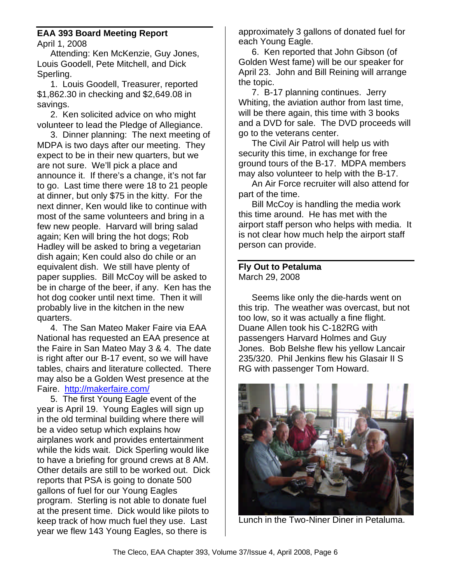### **EAA 393 Board Meeting Report**

April 1, 2008

Attending: Ken McKenzie, Guy Jones, Louis Goodell, Pete Mitchell, and Dick Sperling.

1. Louis Goodell, Treasurer, reported \$1,862.30 in checking and \$2,649.08 in savings.

2. Ken solicited advice on who might volunteer to lead the Pledge of Allegiance.

3. Dinner planning: The next meeting of MDPA is two days after our meeting. They expect to be in their new quarters, but we are not sure. We'll pick a place and announce it. If there's a change, it's not far to go. Last time there were 18 to 21 people at dinner, but only \$75 in the kitty. For the next dinner, Ken would like to continue with most of the same volunteers and bring in a few new people. Harvard will bring salad again; Ken will bring the hot dogs; Rob Hadley will be asked to bring a vegetarian dish again; Ken could also do chile or an equivalent dish. We still have plenty of paper supplies. Bill McCoy will be asked to be in charge of the beer, if any. Ken has the hot dog cooker until next time. Then it will probably live in the kitchen in the new quarters.

4. The San Mateo Maker Faire via EAA National has requested an EAA presence at the Faire in San Mateo May 3 & 4. The date is right after our B-17 event, so we will have tables, chairs and literature collected. There may also be a Golden West presence at the Faire. http://makerfaire.com/

5. The first Young Eagle event of the year is April 19. Young Eagles will sign up in the old terminal building where there will be a video setup which explains how airplanes work and provides entertainment while the kids wait. Dick Sperling would like to have a briefing for ground crews at 8 AM. Other details are still to be worked out. Dick reports that PSA is going to donate 500 gallons of fuel for our Young Eagles program. Sterling is not able to donate fuel at the present time. Dick would like pilots to keep track of how much fuel they use. Last year we flew 143 Young Eagles, so there is

approximately 3 gallons of donated fuel for each Young Eagle.

6. Ken reported that John Gibson (of Golden West fame) will be our speaker for April 23. John and Bill Reining will arrange the topic.

7. B-17 planning continues. Jerry Whiting, the aviation author from last time, will be there again, this time with 3 books and a DVD for sale. The DVD proceeds will go to the veterans center.

The Civil Air Patrol will help us with security this time, in exchange for free ground tours of the B-17. MDPA members may also volunteer to help with the B-17.

An Air Force recruiter will also attend for part of the time.

Bill McCoy is handling the media work this time around. He has met with the airport staff person who helps with media. It is not clear how much help the airport staff person can provide.

### **Fly Out to Petaluma** March 29, 2008

Seems like only the die-hards went on this trip. The weather was overcast, but not too low, so it was actually a fine flight. Duane Allen took his C-182RG with passengers Harvard Holmes and Guy Jones. Bob Belshe flew his yellow Lancair 235/320. Phil Jenkins flew his Glasair II S RG with passenger Tom Howard.



Lunch in the Two-Niner Diner in Petaluma.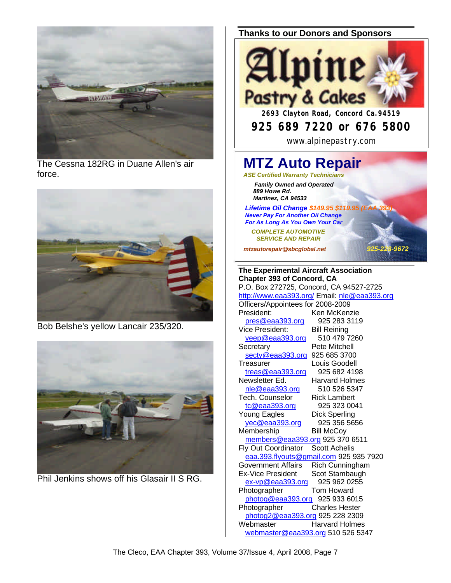

The Cessna 182RG in Duane Allen's air force.



Bob Belshe's yellow Lancair 235/320.



Phil Jenkins shows off his Glasair II S RG.

#### **Thanks to our Donors and Sponsors**



# **925 689 7220 or 676 5800**

www.alpinepastry.com

## **MTZ Auto Repair** *ASE Certified Warranty Technicians*

 *Family Owned and Operated 889 Howe Rd. Martinez, CA 94533*

**Lifetime Oil Change \$449.95 \$119.95 (**  *Never Pay For Another Oil Change For As Long As You Own Your Car*

 *COMPLETE AUTOMOTIVE SERVICE AND REPAIR*

*mtzautorepair@sbcglobal.net 925-228-9672*

**The Experimental Aircraft Association Chapter 393 of Concord, CA** P.O. Box 272725, Concord, CA 94527-2725 http://www.eaa393.org/ Email: nle@eaa393.org Officers/Appointees for 2008-2009 President: Ken McKenzie pres@eaa393.org 925 283 3119 Vice President: Bill Reining<br>
veep@eaa393.org 510 479 7260  $veep@eaa393.org$ Secretary Pete Mitchell secty@eaa393.org 925 685 3700 Treasurer Louis Goodell treas@eaa393.org 925 682 4198 Newsletter Ed. Harvard Holmes nle@eaa393.org 510 526 5347 Tech. Counselor Rick Lambert tc@eaa393.org 925 323 0041 Young Eagles Dick Sperling yec@eaa393.org 925 356 5656 Membership Bill McCoy members@eaa393.org 925 370 6511 Fly Out Coordinator Scott Achelis eaa.393.flyouts@gmail.com 925 935 7920 Government Affairs Rich Cunningham Ex-Vice President Scot Stambaugh ex-vp@eaa393.org 925 962 0255 Photographer Tom Howard photog@eaa393.org 925 933 6015 Photographer Charles Hester photog2@eaa393.org 925 228 2309 Webmaster **Harvard Holmes** webmaster@eaa393.org 510 526 5347